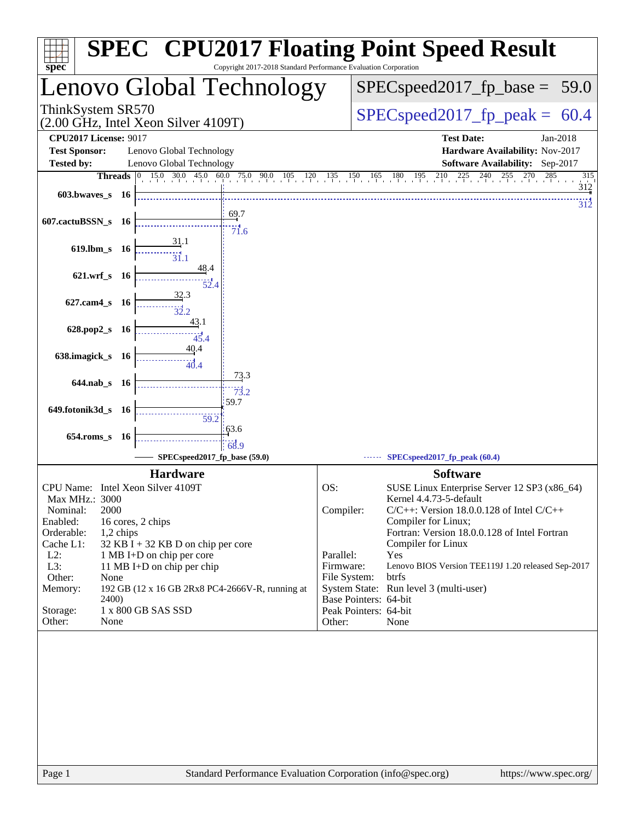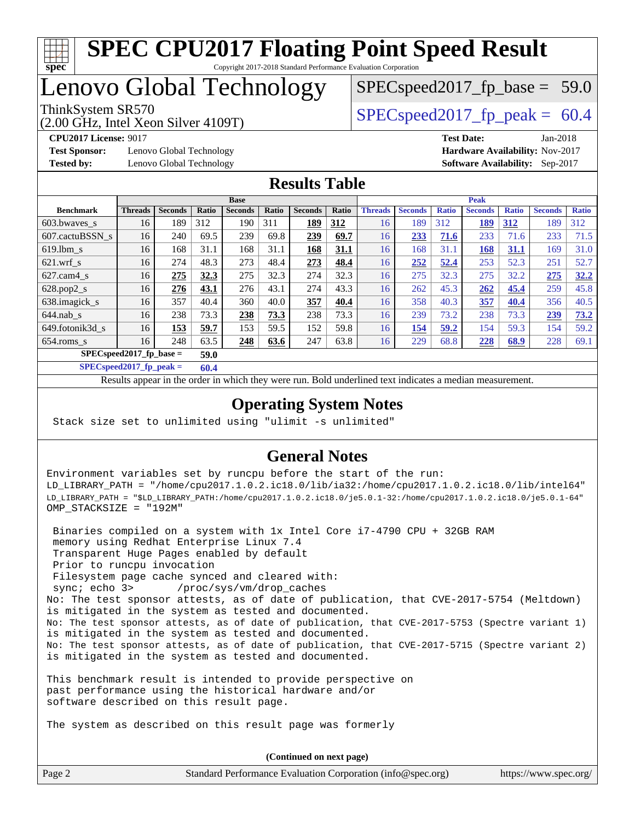

## Lenovo Global Technology

ThinkSystem SR570<br>  $\begin{array}{|l|}\n\hline\n\text{ShinkSystem} & \text{SPECspeed2017\_fp\_peak} = 60.4\n\end{array}$ 

 $SPECspeed2017_fp\_base = 59.0$ 

(2.00 GHz, Intel Xeon Silver 4109T)

**[Test Sponsor:](http://www.spec.org/auto/cpu2017/Docs/result-fields.html#TestSponsor)** Lenovo Global Technology **[Hardware Availability:](http://www.spec.org/auto/cpu2017/Docs/result-fields.html#HardwareAvailability)** Nov-2017

**[CPU2017 License:](http://www.spec.org/auto/cpu2017/Docs/result-fields.html#CPU2017License)** 9017 **[Test Date:](http://www.spec.org/auto/cpu2017/Docs/result-fields.html#TestDate)** Jan-2018 **[Tested by:](http://www.spec.org/auto/cpu2017/Docs/result-fields.html#Testedby)** Lenovo Global Technology **[Software Availability:](http://www.spec.org/auto/cpu2017/Docs/result-fields.html#SoftwareAvailability)** Sep-2017

### **[Results Table](http://www.spec.org/auto/cpu2017/Docs/result-fields.html#ResultsTable)**

|                            | <b>Base</b>    |                |              |                |       |                | <b>Peak</b> |                |                |              |                |              |                |              |
|----------------------------|----------------|----------------|--------------|----------------|-------|----------------|-------------|----------------|----------------|--------------|----------------|--------------|----------------|--------------|
| <b>Benchmark</b>           | <b>Threads</b> | <b>Seconds</b> | <b>Ratio</b> | <b>Seconds</b> | Ratio | <b>Seconds</b> | Ratio       | <b>Threads</b> | <b>Seconds</b> | <b>Ratio</b> | <b>Seconds</b> | <b>Ratio</b> | <b>Seconds</b> | <b>Ratio</b> |
| $603.bwaves$ s             | 16             | 189            | 312          | 190            | 311   | 189            | 312         | 16             | 189            | 312          | <u>189</u>     | 312          | 189            | 312          |
| 607.cactuBSSN s            | 16             | 240            | 69.5         | 239            | 69.8  | 239            | 69.7        | 16             | 233            | 71.6         | 233            | 71.6         | 233            | 71.5         |
| $619.1$ bm s               | 16             | 168            | 31.1         | 168            | 31.1  | 168            | 31.1        | 16             | 168            | 31.1         | 168            | 31.1         | 169            | 31.0         |
| $621$ .wrf s               | 16             | 274            | 48.3         | 273            | 48.4  | 273            | 48.4        | 16             | 252            | 52.4         | 253            | 52.3         | 251            | 52.7         |
| $627$ .cam $4 \text{ s}$   | 16             | 275            | 32.3         | 275            | 32.3  | 274            | 32.3        | 16             | 275            | 32.3         | 275            | 32.2         | 275            | 32.2         |
| $628.pop2_s$               | 16             | 276            | 43.1         | 276            | 43.1  | 274            | 43.3        | 16             | 262            | 45.3         | 262            | 45.4         | 259            | 45.8         |
| 638.imagick_s              | 16             | 357            | 40.4         | 360            | 40.0  | 357            | 40.4        | 16             | 358            | 40.3         | 357            | 40.4         | 356            | 40.5         |
| $644$ .nab s               | 16             | 238            | 73.3         | 238            | 73.3  | 238            | 73.3        | 16             | 239            | 73.2         | 238            | 73.3         | 239            | 73.2         |
| 649.fotonik3d s            | 16             | 153            | 59.7         | 153            | 59.5  | 152            | 59.8        | 16             | 154            | 59.2         | 154            | 59.3         | 154            | 59.2         |
| $654$ .roms s              | 16             | 248            | 63.5         | <u>248</u>     | 63.6  | 247            | 63.8        | 16             | 229            | 68.8         | 228            | 68.9         | 228            | 69.1         |
| $SPEC speed2017$ fp base = |                | 59.0           |              |                |       |                |             |                |                |              |                |              |                |              |

**[SPECspeed2017\\_fp\\_peak =](http://www.spec.org/auto/cpu2017/Docs/result-fields.html#SPECspeed2017fppeak) 60.4**

Results appear in the [order in which they were run.](http://www.spec.org/auto/cpu2017/Docs/result-fields.html#RunOrder) Bold underlined text [indicates a median measurement](http://www.spec.org/auto/cpu2017/Docs/result-fields.html#Median).

### **[Operating System Notes](http://www.spec.org/auto/cpu2017/Docs/result-fields.html#OperatingSystemNotes)**

Stack size set to unlimited using "ulimit -s unlimited"

### **[General Notes](http://www.spec.org/auto/cpu2017/Docs/result-fields.html#GeneralNotes)**

Environment variables set by runcpu before the start of the run: LD\_LIBRARY\_PATH = "/home/cpu2017.1.0.2.ic18.0/lib/ia32:/home/cpu2017.1.0.2.ic18.0/lib/intel64" LD\_LIBRARY\_PATH = "\$LD\_LIBRARY\_PATH:/home/cpu2017.1.0.2.ic18.0/je5.0.1-32:/home/cpu2017.1.0.2.ic18.0/je5.0.1-64" OMP\_STACKSIZE = "192M"

 Binaries compiled on a system with 1x Intel Core i7-4790 CPU + 32GB RAM memory using Redhat Enterprise Linux 7.4 Transparent Huge Pages enabled by default Prior to runcpu invocation Filesystem page cache synced and cleared with: sync; echo 3> /proc/sys/vm/drop\_caches No: The test sponsor attests, as of date of publication, that CVE-2017-5754 (Meltdown) is mitigated in the system as tested and documented. No: The test sponsor attests, as of date of publication, that CVE-2017-5753 (Spectre variant 1) is mitigated in the system as tested and documented. No: The test sponsor attests, as of date of publication, that CVE-2017-5715 (Spectre variant 2) is mitigated in the system as tested and documented.

This benchmark result is intended to provide perspective on past performance using the historical hardware and/or software described on this result page.

The system as described on this result page was formerly

Page 2 Standard Performance Evaluation Corporation [\(info@spec.org\)](mailto:info@spec.org) <https://www.spec.org/> **(Continued on next page)**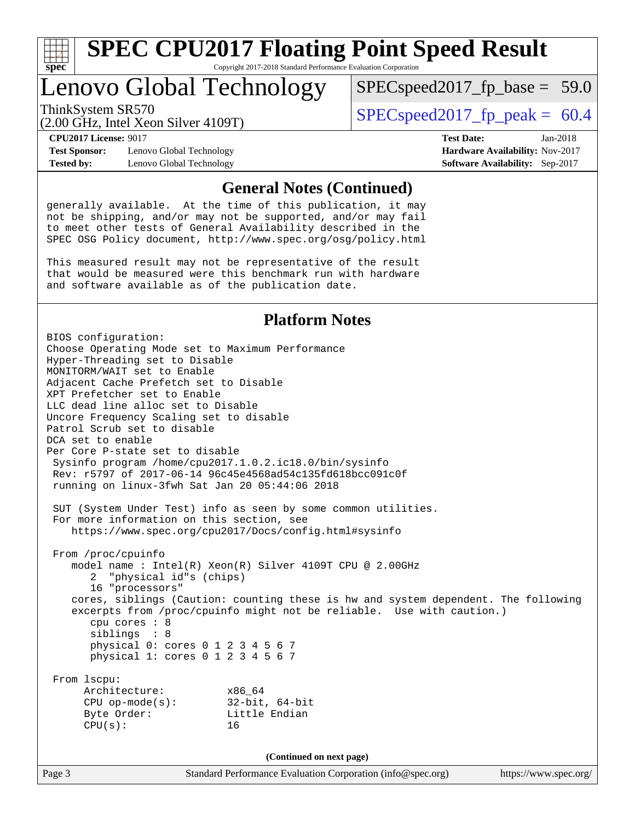

# Lenovo Global Technology

ThinkSystem SR570<br>  $SPEC speed2017$  fp\_peak = 60.4

 $SPECspeed2017_fp\_base = 59.0$ 

(2.00 GHz, Intel Xeon Silver 4109T)

**[Test Sponsor:](http://www.spec.org/auto/cpu2017/Docs/result-fields.html#TestSponsor)** Lenovo Global Technology **[Hardware Availability:](http://www.spec.org/auto/cpu2017/Docs/result-fields.html#HardwareAvailability)** Nov-2017 **[Tested by:](http://www.spec.org/auto/cpu2017/Docs/result-fields.html#Testedby)** Lenovo Global Technology **[Software Availability:](http://www.spec.org/auto/cpu2017/Docs/result-fields.html#SoftwareAvailability)** Sep-2017

**[CPU2017 License:](http://www.spec.org/auto/cpu2017/Docs/result-fields.html#CPU2017License)** 9017 **[Test Date:](http://www.spec.org/auto/cpu2017/Docs/result-fields.html#TestDate)** Jan-2018

#### **[General Notes \(Continued\)](http://www.spec.org/auto/cpu2017/Docs/result-fields.html#GeneralNotes)**

generally available. At the time of this publication, it may not be shipping, and/or may not be supported, and/or may fail to meet other tests of General Availability described in the SPEC OSG Policy document, <http://www.spec.org/osg/policy.html>

This measured result may not be representative of the result that would be measured were this benchmark run with hardware and software available as of the publication date.

#### **[Platform Notes](http://www.spec.org/auto/cpu2017/Docs/result-fields.html#PlatformNotes)**

Page 3 Standard Performance Evaluation Corporation [\(info@spec.org\)](mailto:info@spec.org) <https://www.spec.org/> BIOS configuration: Choose Operating Mode set to Maximum Performance Hyper-Threading set to Disable MONITORM/WAIT set to Enable Adjacent Cache Prefetch set to Disable XPT Prefetcher set to Enable LLC dead line alloc set to Disable Uncore Frequency Scaling set to disable Patrol Scrub set to disable DCA set to enable Per Core P-state set to disable Sysinfo program /home/cpu2017.1.0.2.ic18.0/bin/sysinfo Rev: r5797 of 2017-06-14 96c45e4568ad54c135fd618bcc091c0f running on linux-3fwh Sat Jan 20 05:44:06 2018 SUT (System Under Test) info as seen by some common utilities. For more information on this section, see <https://www.spec.org/cpu2017/Docs/config.html#sysinfo> From /proc/cpuinfo model name : Intel(R) Xeon(R) Silver 4109T CPU @ 2.00GHz 2 "physical id"s (chips) 16 "processors" cores, siblings (Caution: counting these is hw and system dependent. The following excerpts from /proc/cpuinfo might not be reliable. Use with caution.) cpu cores : 8 siblings : 8 physical 0: cores 0 1 2 3 4 5 6 7 physical 1: cores 0 1 2 3 4 5 6 7 From lscpu: Architecture: x86\_64 CPU op-mode(s): 32-bit, 64-bit Byte Order: Little Endian  $CPU(s):$  16 **(Continued on next page)**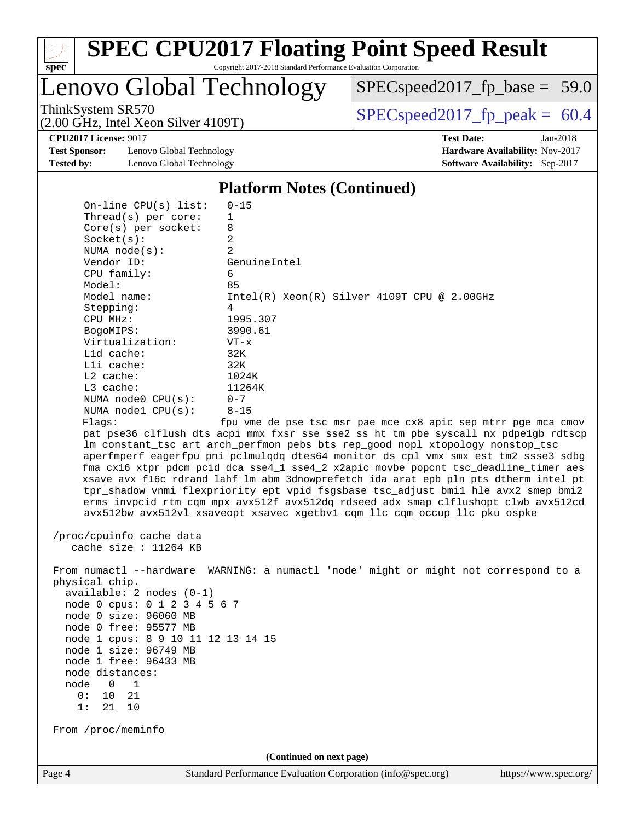

Lenovo Global Technology

 $SPECspeed2017_fp\_base = 59.0$ 

(2.00 GHz, Intel Xeon Silver 4109T)

ThinkSystem SR570  $SPEC speed2017$  fp\_peak = 60.4

**[CPU2017 License:](http://www.spec.org/auto/cpu2017/Docs/result-fields.html#CPU2017License)** 9017 **[Test Date:](http://www.spec.org/auto/cpu2017/Docs/result-fields.html#TestDate)** Jan-2018

**[Test Sponsor:](http://www.spec.org/auto/cpu2017/Docs/result-fields.html#TestSponsor)** Lenovo Global Technology **[Hardware Availability:](http://www.spec.org/auto/cpu2017/Docs/result-fields.html#HardwareAvailability)** Nov-2017 **[Tested by:](http://www.spec.org/auto/cpu2017/Docs/result-fields.html#Testedby)** Lenovo Global Technology **[Software Availability:](http://www.spec.org/auto/cpu2017/Docs/result-fields.html#SoftwareAvailability)** Sep-2017

#### **[Platform Notes \(Continued\)](http://www.spec.org/auto/cpu2017/Docs/result-fields.html#PlatformNotes)**

 On-line CPU(s) list: 0-15 Thread(s) per core: 1 Core(s) per socket: 8 Socket(s): 2 NUMA node(s): 2 Vendor ID: GenuineIntel CPU family: 6 Model: 85 Model name: Intel(R) Xeon(R) Silver 4109T CPU @ 2.00GHz Stepping: 4 CPU MHz: 1995.307 BogoMIPS: 3990.61 Virtualization: VT-x L1d cache: 32K L1i cache: 32K L2 cache: 1024K L3 cache: 11264K NUMA node0 CPU(s): 0-7 NUMA node1 CPU(s): 8-15 Flags: fpu vme de pse tsc msr pae mce cx8 apic sep mtrr pge mca cmov pat pse36 clflush dts acpi mmx fxsr sse sse2 ss ht tm pbe syscall nx pdpe1gb rdtscp lm constant\_tsc art arch\_perfmon pebs bts rep\_good nopl xtopology nonstop\_tsc aperfmperf eagerfpu pni pclmulqdq dtes64 monitor ds\_cpl vmx smx est tm2 ssse3 sdbg fma cx16 xtpr pdcm pcid dca sse4\_1 sse4\_2 x2apic movbe popcnt tsc\_deadline\_timer aes xsave avx f16c rdrand lahf\_lm abm 3dnowprefetch ida arat epb pln pts dtherm intel\_pt tpr\_shadow vnmi flexpriority ept vpid fsgsbase tsc\_adjust bmi1 hle avx2 smep bmi2 erms invpcid rtm cqm mpx avx512f avx512dq rdseed adx smap clflushopt clwb avx512cd avx512bw avx512vl xsaveopt xsavec xgetbv1 cqm\_llc cqm\_occup\_llc pku ospke

 /proc/cpuinfo cache data cache size : 11264 KB

 From numactl --hardware WARNING: a numactl 'node' might or might not correspond to a physical chip. available: 2 nodes (0-1)

 node 0 cpus: 0 1 2 3 4 5 6 7 node 0 size: 96060 MB node 0 free: 95577 MB node 1 cpus: 8 9 10 11 12 13 14 15 node 1 size: 96749 MB node 1 free: 96433 MB node distances: node 0 1  $0: 10 21$ 1: 21 10

From /proc/meminfo

**(Continued on next page)**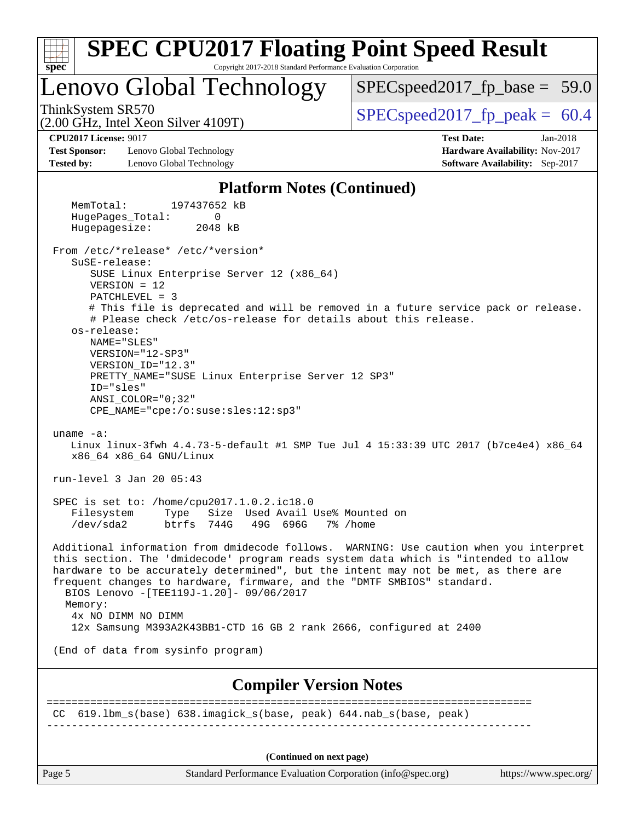| <b>SPEC CPU2017 Floating Point Speed Result</b><br>spec <sup>®</sup><br>Copyright 2017-2018 Standard Performance Evaluation Corporation                                                                                                                                                                                                                                                                                                                                                                         |                                                                                                       |
|-----------------------------------------------------------------------------------------------------------------------------------------------------------------------------------------------------------------------------------------------------------------------------------------------------------------------------------------------------------------------------------------------------------------------------------------------------------------------------------------------------------------|-------------------------------------------------------------------------------------------------------|
| Lenovo Global Technology                                                                                                                                                                                                                                                                                                                                                                                                                                                                                        | $SPEC speed2017_fp\_base = 59.0$                                                                      |
| ThinkSystem SR570<br>$(2.00$ GHz, Intel Xeon Silver 4109T)                                                                                                                                                                                                                                                                                                                                                                                                                                                      | $SPEC speed2017_fp\_peak = 60.4$                                                                      |
| <b>CPU2017 License: 9017</b><br><b>Test Sponsor:</b><br>Lenovo Global Technology<br><b>Tested by:</b><br>Lenovo Global Technology                                                                                                                                                                                                                                                                                                                                                                               | <b>Test Date:</b><br>$Jan-2018$<br>Hardware Availability: Nov-2017<br>Software Availability: Sep-2017 |
| <b>Platform Notes (Continued)</b>                                                                                                                                                                                                                                                                                                                                                                                                                                                                               |                                                                                                       |
| 197437652 kB<br>MemTotal:<br>HugePages_Total:<br>0<br>Hugepagesize:<br>2048 kB                                                                                                                                                                                                                                                                                                                                                                                                                                  |                                                                                                       |
| From /etc/*release* /etc/*version*<br>SuSE-release:<br>SUSE Linux Enterprise Server 12 (x86_64)<br>$VERSION = 12$<br>$PATCHLEVEL = 3$<br># This file is deprecated and will be removed in a future service pack or release.<br># Please check /etc/os-release for details about this release.<br>os-release:<br>NAME="SLES"<br>VERSION="12-SP3"<br>VERSION_ID="12.3"<br>PRETTY_NAME="SUSE Linux Enterprise Server 12 SP3"<br>ID="sles"<br>$ANSI$ _COLOR=" $0:32$ "<br>$CPE\_NAME = "cpe://o:suse: sles:12:sp3"$ |                                                                                                       |
| $uname -a:$<br>Linux linux-3fwh 4.4.73-5-default #1 SMP Tue Jul 4 15:33:39 UTC 2017 (b7ce4e4) x86_64<br>x86_64 x86_64 GNU/Linux                                                                                                                                                                                                                                                                                                                                                                                 |                                                                                                       |
| run-level 3 Jan 20 05:43                                                                                                                                                                                                                                                                                                                                                                                                                                                                                        |                                                                                                       |
| SPEC is set to: /home/cpu2017.1.0.2.ic18.0<br>Type Size Used Avail Use% Mounted on<br>Filesystem<br>btrfs 744G<br>49G 696G 7% / home<br>/dev/sda2                                                                                                                                                                                                                                                                                                                                                               |                                                                                                       |
| Additional information from dmidecode follows. WARNING: Use caution when you interpret<br>this section. The 'dmidecode' program reads system data which is "intended to allow<br>hardware to be accurately determined", but the intent may not be met, as there are<br>frequent changes to hardware, firmware, and the "DMTF SMBIOS" standard.<br>BIOS Lenovo - [TEE119J-1.20]- 09/06/2017<br>Memory:<br>4x NO DIMM NO DIMM<br>12x Samsung M393A2K43BB1-CTD 16 GB 2 rank 2666, configured at 2400               |                                                                                                       |
| (End of data from sysinfo program)                                                                                                                                                                                                                                                                                                                                                                                                                                                                              |                                                                                                       |
| <b>Compiler Version Notes</b>                                                                                                                                                                                                                                                                                                                                                                                                                                                                                   |                                                                                                       |
| CC 619.1bm_s(base) 638.imagick_s(base, peak) 644.nab_s(base, peak)                                                                                                                                                                                                                                                                                                                                                                                                                                              |                                                                                                       |
| (Continued on next page)                                                                                                                                                                                                                                                                                                                                                                                                                                                                                        |                                                                                                       |

Page 5 Standard Performance Evaluation Corporation [\(info@spec.org\)](mailto:info@spec.org) <https://www.spec.org/>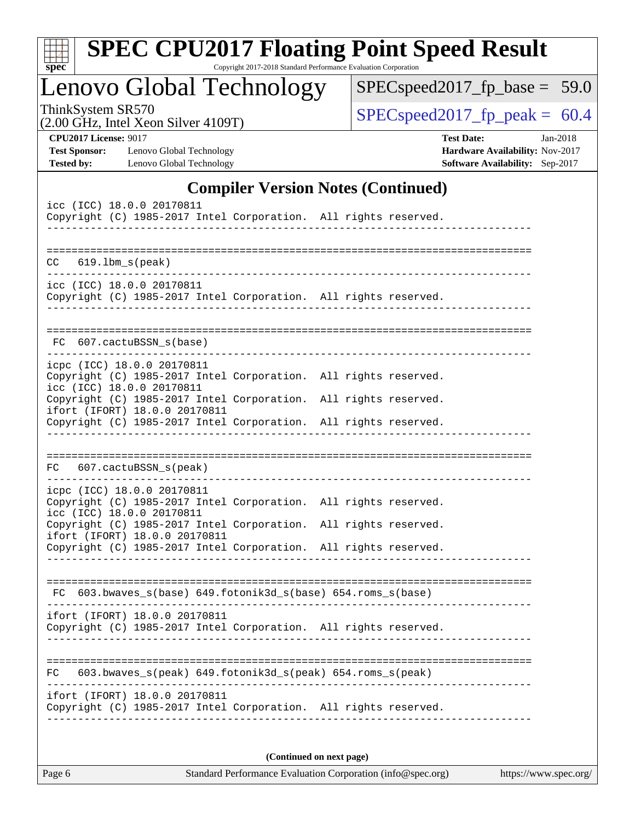| e.<br>c |  |  |  |  |  |
|---------|--|--|--|--|--|

# **[SPEC CPU2017 Floating Point Speed Result](http://www.spec.org/auto/cpu2017/Docs/result-fields.html#SPECCPU2017FloatingPointSpeedResult)**

Copyright 2017-2018 Standard Performance Evaluation Corporation

Lenovo Global Technology

[SPECspeed2017\\_fp\\_base =](http://www.spec.org/auto/cpu2017/Docs/result-fields.html#SPECspeed2017fpbase) 59.0

(2.00 GHz, Intel Xeon Silver 4109T)

ThinkSystem SR570<br>  $(2.00 \text{ GHz})$  Intel Yeon Silver 4109T) [SPECspeed2017\\_fp\\_peak =](http://www.spec.org/auto/cpu2017/Docs/result-fields.html#SPECspeed2017fppeak) 60.4

| <b>CPU2017 License: 9017</b> |                  |
|------------------------------|------------------|
| Test Sponsor:                | $I_{\text{max}}$ |

**[Test Sponsor:](http://www.spec.org/auto/cpu2017/Docs/result-fields.html#TestSponsor)** Lenovo Global Technology **[Hardware Availability:](http://www.spec.org/auto/cpu2017/Docs/result-fields.html#HardwareAvailability)** Nov-2017 **[Tested by:](http://www.spec.org/auto/cpu2017/Docs/result-fields.html#Testedby)** Lenovo Global Technology **[Software Availability:](http://www.spec.org/auto/cpu2017/Docs/result-fields.html#SoftwareAvailability)** Sep-2017

**[CPU2017 License:](http://www.spec.org/auto/cpu2017/Docs/result-fields.html#CPU2017License)** 9017 **[Test Date:](http://www.spec.org/auto/cpu2017/Docs/result-fields.html#TestDate)** Jan-2018

### **[Compiler Version Notes \(Continued\)](http://www.spec.org/auto/cpu2017/Docs/result-fields.html#CompilerVersionNotes)**

| icc (ICC) 18.0.0 20170811<br>Copyright (C) 1985-2017 Intel Corporation. All rights reserved.                               |  |  |  |  |  |  |
|----------------------------------------------------------------------------------------------------------------------------|--|--|--|--|--|--|
| $CC$ 619.1bm_s(peak)                                                                                                       |  |  |  |  |  |  |
| icc (ICC) 18.0.0 20170811<br>Copyright (C) 1985-2017 Intel Corporation. All rights reserved.                               |  |  |  |  |  |  |
| 607.cactuBSSN_s(base)<br>FC.                                                                                               |  |  |  |  |  |  |
| icpc (ICC) 18.0.0 20170811<br>Copyright (C) 1985-2017 Intel Corporation. All rights reserved.<br>icc (ICC) 18.0.0 20170811 |  |  |  |  |  |  |
| Copyright (C) 1985-2017 Intel Corporation. All rights reserved.<br>ifort (IFORT) 18.0.0 20170811                           |  |  |  |  |  |  |
| Copyright (C) 1985-2017 Intel Corporation. All rights reserved.                                                            |  |  |  |  |  |  |
|                                                                                                                            |  |  |  |  |  |  |
| 607.cactuBSSN_s(peak)<br>FC.                                                                                               |  |  |  |  |  |  |
| icpc (ICC) 18.0.0 20170811                                                                                                 |  |  |  |  |  |  |
| Copyright (C) 1985-2017 Intel Corporation. All rights reserved.<br>icc (ICC) 18.0.0 20170811                               |  |  |  |  |  |  |
| Copyright (C) 1985-2017 Intel Corporation. All rights reserved.<br>ifort (IFORT) 18.0.0 20170811                           |  |  |  |  |  |  |
| Copyright (C) 1985-2017 Intel Corporation. All rights reserved.                                                            |  |  |  |  |  |  |
|                                                                                                                            |  |  |  |  |  |  |
| FC 603.bwaves_s(base) 649.fotonik3d_s(base) 654.roms_s(base)                                                               |  |  |  |  |  |  |
| ifort (IFORT) 18.0.0 20170811                                                                                              |  |  |  |  |  |  |
| Copyright (C) 1985-2017 Intel Corporation. All rights reserved.                                                            |  |  |  |  |  |  |
|                                                                                                                            |  |  |  |  |  |  |
| 603.bwaves_s(peak) 649.fotonik3d_s(peak) 654.roms_s(peak)<br>FC                                                            |  |  |  |  |  |  |
| ifort (IFORT) 18.0.0 20170811<br>Copyright (C) 1985-2017 Intel Corporation. All rights reserved.                           |  |  |  |  |  |  |
|                                                                                                                            |  |  |  |  |  |  |
| (Continued on next page)                                                                                                   |  |  |  |  |  |  |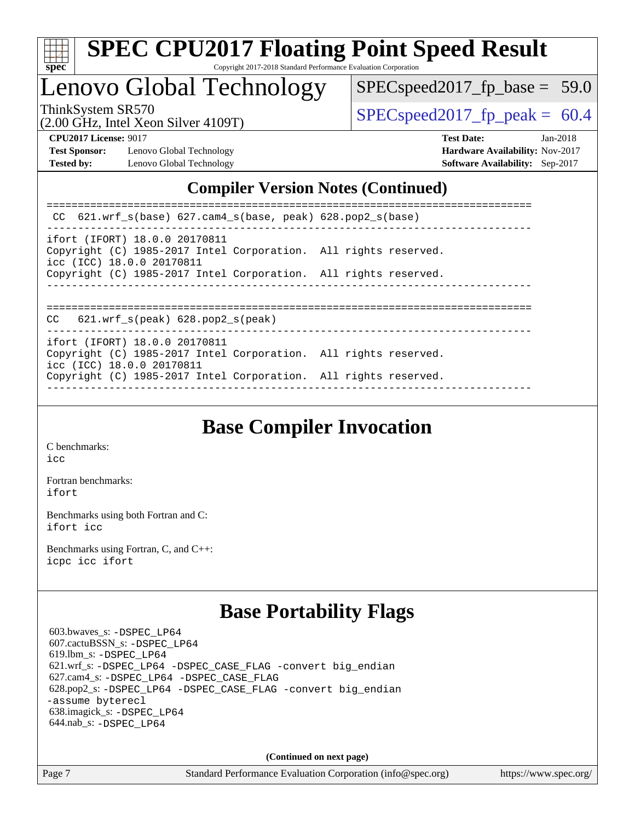

Lenovo Global Technology

 $SPECspeed2017_fp\_base = 59.0$ 

(2.00 GHz, Intel Xeon Silver 4109T)

ThinkSystem SR570<br>  $\begin{array}{|l|l|l|l|l|}\n\hline\n\text{SPEC speed2017\_fp\_peak} = 60.4\n\end{array}$ 

**[Test Sponsor:](http://www.spec.org/auto/cpu2017/Docs/result-fields.html#TestSponsor)** Lenovo Global Technology **[Hardware Availability:](http://www.spec.org/auto/cpu2017/Docs/result-fields.html#HardwareAvailability)** Nov-2017 **[Tested by:](http://www.spec.org/auto/cpu2017/Docs/result-fields.html#Testedby)** Lenovo Global Technology **[Software Availability:](http://www.spec.org/auto/cpu2017/Docs/result-fields.html#SoftwareAvailability)** Sep-2017

**[CPU2017 License:](http://www.spec.org/auto/cpu2017/Docs/result-fields.html#CPU2017License)** 9017 **[Test Date:](http://www.spec.org/auto/cpu2017/Docs/result-fields.html#TestDate)** Jan-2018

### **[Compiler Version Notes \(Continued\)](http://www.spec.org/auto/cpu2017/Docs/result-fields.html#CompilerVersionNotes)**

| CC $621.wrf_s(base) 627.cam4_s(base, peak) 628.pop2_s(base)$                                                                  |  |
|-------------------------------------------------------------------------------------------------------------------------------|--|
| ifort (IFORT) 18.0.0 20170811<br>Copyright (C) 1985-2017 Intel Corporation. All rights reserved.<br>icc (ICC) 18.0.0 20170811 |  |
| Copyright (C) 1985-2017 Intel Corporation. All rights reserved.                                                               |  |
| $621.wrf$ s(peak) $628.pop2$ s(peak)<br>CC.                                                                                   |  |
| ifort (IFORT) 18.0.0 20170811<br>Copyright (C) 1985-2017 Intel Corporation. All rights reserved.<br>icc (ICC) 18.0.0 20170811 |  |
| Copyright (C) 1985-2017 Intel Corporation. All rights reserved.                                                               |  |

### **[Base Compiler Invocation](http://www.spec.org/auto/cpu2017/Docs/result-fields.html#BaseCompilerInvocation)**

[C benchmarks](http://www.spec.org/auto/cpu2017/Docs/result-fields.html#Cbenchmarks): [icc](http://www.spec.org/cpu2017/results/res2018q1/cpu2017-20180122-02998.flags.html#user_CCbase_intel_icc_18.0_66fc1ee009f7361af1fbd72ca7dcefbb700085f36577c54f309893dd4ec40d12360134090235512931783d35fd58c0460139e722d5067c5574d8eaf2b3e37e92)

[Fortran benchmarks](http://www.spec.org/auto/cpu2017/Docs/result-fields.html#Fortranbenchmarks): [ifort](http://www.spec.org/cpu2017/results/res2018q1/cpu2017-20180122-02998.flags.html#user_FCbase_intel_ifort_18.0_8111460550e3ca792625aed983ce982f94888b8b503583aa7ba2b8303487b4d8a21a13e7191a45c5fd58ff318f48f9492884d4413fa793fd88dd292cad7027ca)

[Benchmarks using both Fortran and C](http://www.spec.org/auto/cpu2017/Docs/result-fields.html#BenchmarksusingbothFortranandC): [ifort](http://www.spec.org/cpu2017/results/res2018q1/cpu2017-20180122-02998.flags.html#user_CC_FCbase_intel_ifort_18.0_8111460550e3ca792625aed983ce982f94888b8b503583aa7ba2b8303487b4d8a21a13e7191a45c5fd58ff318f48f9492884d4413fa793fd88dd292cad7027ca) [icc](http://www.spec.org/cpu2017/results/res2018q1/cpu2017-20180122-02998.flags.html#user_CC_FCbase_intel_icc_18.0_66fc1ee009f7361af1fbd72ca7dcefbb700085f36577c54f309893dd4ec40d12360134090235512931783d35fd58c0460139e722d5067c5574d8eaf2b3e37e92)

[Benchmarks using Fortran, C, and C++:](http://www.spec.org/auto/cpu2017/Docs/result-fields.html#BenchmarksusingFortranCandCXX) [icpc](http://www.spec.org/cpu2017/results/res2018q1/cpu2017-20180122-02998.flags.html#user_CC_CXX_FCbase_intel_icpc_18.0_c510b6838c7f56d33e37e94d029a35b4a7bccf4766a728ee175e80a419847e808290a9b78be685c44ab727ea267ec2f070ec5dc83b407c0218cded6866a35d07) [icc](http://www.spec.org/cpu2017/results/res2018q1/cpu2017-20180122-02998.flags.html#user_CC_CXX_FCbase_intel_icc_18.0_66fc1ee009f7361af1fbd72ca7dcefbb700085f36577c54f309893dd4ec40d12360134090235512931783d35fd58c0460139e722d5067c5574d8eaf2b3e37e92) [ifort](http://www.spec.org/cpu2017/results/res2018q1/cpu2017-20180122-02998.flags.html#user_CC_CXX_FCbase_intel_ifort_18.0_8111460550e3ca792625aed983ce982f94888b8b503583aa7ba2b8303487b4d8a21a13e7191a45c5fd58ff318f48f9492884d4413fa793fd88dd292cad7027ca)

### **[Base Portability Flags](http://www.spec.org/auto/cpu2017/Docs/result-fields.html#BasePortabilityFlags)**

 603.bwaves\_s: [-DSPEC\\_LP64](http://www.spec.org/cpu2017/results/res2018q1/cpu2017-20180122-02998.flags.html#suite_basePORTABILITY603_bwaves_s_DSPEC_LP64) 607.cactuBSSN\_s: [-DSPEC\\_LP64](http://www.spec.org/cpu2017/results/res2018q1/cpu2017-20180122-02998.flags.html#suite_basePORTABILITY607_cactuBSSN_s_DSPEC_LP64) 619.lbm\_s: [-DSPEC\\_LP64](http://www.spec.org/cpu2017/results/res2018q1/cpu2017-20180122-02998.flags.html#suite_basePORTABILITY619_lbm_s_DSPEC_LP64) 621.wrf\_s: [-DSPEC\\_LP64](http://www.spec.org/cpu2017/results/res2018q1/cpu2017-20180122-02998.flags.html#suite_basePORTABILITY621_wrf_s_DSPEC_LP64) [-DSPEC\\_CASE\\_FLAG](http://www.spec.org/cpu2017/results/res2018q1/cpu2017-20180122-02998.flags.html#b621.wrf_s_baseCPORTABILITY_DSPEC_CASE_FLAG) [-convert big\\_endian](http://www.spec.org/cpu2017/results/res2018q1/cpu2017-20180122-02998.flags.html#user_baseFPORTABILITY621_wrf_s_convert_big_endian_c3194028bc08c63ac5d04de18c48ce6d347e4e562e8892b8bdbdc0214820426deb8554edfa529a3fb25a586e65a3d812c835984020483e7e73212c4d31a38223) 627.cam4\_s: [-DSPEC\\_LP64](http://www.spec.org/cpu2017/results/res2018q1/cpu2017-20180122-02998.flags.html#suite_basePORTABILITY627_cam4_s_DSPEC_LP64) [-DSPEC\\_CASE\\_FLAG](http://www.spec.org/cpu2017/results/res2018q1/cpu2017-20180122-02998.flags.html#b627.cam4_s_baseCPORTABILITY_DSPEC_CASE_FLAG) 628.pop2\_s: [-DSPEC\\_LP64](http://www.spec.org/cpu2017/results/res2018q1/cpu2017-20180122-02998.flags.html#suite_basePORTABILITY628_pop2_s_DSPEC_LP64) [-DSPEC\\_CASE\\_FLAG](http://www.spec.org/cpu2017/results/res2018q1/cpu2017-20180122-02998.flags.html#b628.pop2_s_baseCPORTABILITY_DSPEC_CASE_FLAG) [-convert big\\_endian](http://www.spec.org/cpu2017/results/res2018q1/cpu2017-20180122-02998.flags.html#user_baseFPORTABILITY628_pop2_s_convert_big_endian_c3194028bc08c63ac5d04de18c48ce6d347e4e562e8892b8bdbdc0214820426deb8554edfa529a3fb25a586e65a3d812c835984020483e7e73212c4d31a38223) [-assume byterecl](http://www.spec.org/cpu2017/results/res2018q1/cpu2017-20180122-02998.flags.html#user_baseFPORTABILITY628_pop2_s_assume_byterecl_7e47d18b9513cf18525430bbf0f2177aa9bf368bc7a059c09b2c06a34b53bd3447c950d3f8d6c70e3faf3a05c8557d66a5798b567902e8849adc142926523472) 638.imagick\_s: [-DSPEC\\_LP64](http://www.spec.org/cpu2017/results/res2018q1/cpu2017-20180122-02998.flags.html#suite_basePORTABILITY638_imagick_s_DSPEC_LP64) 644.nab\_s: [-DSPEC\\_LP64](http://www.spec.org/cpu2017/results/res2018q1/cpu2017-20180122-02998.flags.html#suite_basePORTABILITY644_nab_s_DSPEC_LP64)

**(Continued on next page)**

Page 7 Standard Performance Evaluation Corporation [\(info@spec.org\)](mailto:info@spec.org) <https://www.spec.org/>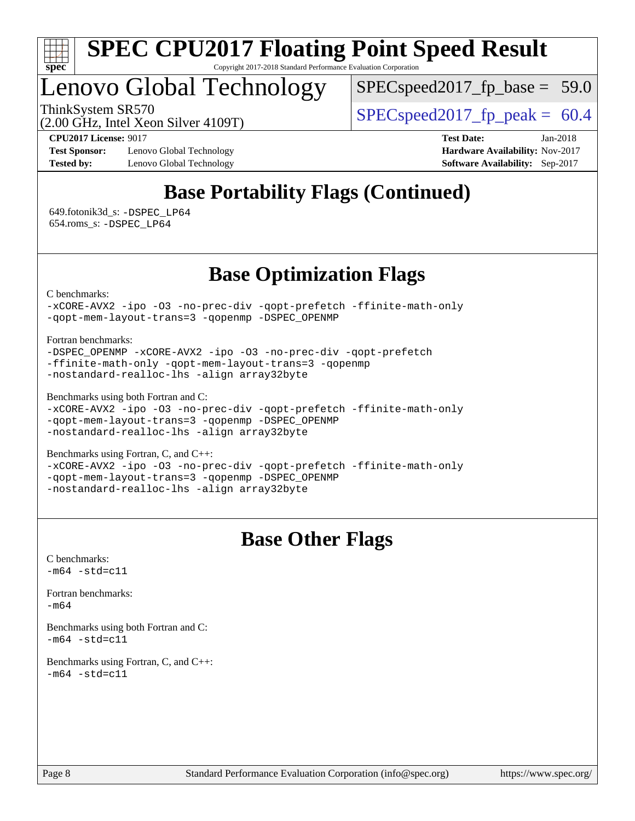

Lenovo Global Technology

 $SPECspeed2017_fp\_base = 59.0$ 

(2.00 GHz, Intel Xeon Silver 4109T)

ThinkSystem SR570<br>  $\begin{array}{|l|}\n\hline\n\text{ShinkSystem} & \text{SPECspeed2017 from peak = 60.4}\n\hline\n\end{array}$ 

**[Test Sponsor:](http://www.spec.org/auto/cpu2017/Docs/result-fields.html#TestSponsor)** Lenovo Global Technology **[Hardware Availability:](http://www.spec.org/auto/cpu2017/Docs/result-fields.html#HardwareAvailability)** Nov-2017 **[Tested by:](http://www.spec.org/auto/cpu2017/Docs/result-fields.html#Testedby)** Lenovo Global Technology **[Software Availability:](http://www.spec.org/auto/cpu2017/Docs/result-fields.html#SoftwareAvailability)** Sep-2017

**[CPU2017 License:](http://www.spec.org/auto/cpu2017/Docs/result-fields.html#CPU2017License)** 9017 **[Test Date:](http://www.spec.org/auto/cpu2017/Docs/result-fields.html#TestDate)** Jan-2018

### **[Base Portability Flags \(Continued\)](http://www.spec.org/auto/cpu2017/Docs/result-fields.html#BasePortabilityFlags)**

 649.fotonik3d\_s: [-DSPEC\\_LP64](http://www.spec.org/cpu2017/results/res2018q1/cpu2017-20180122-02998.flags.html#suite_basePORTABILITY649_fotonik3d_s_DSPEC_LP64) 654.roms\_s: [-DSPEC\\_LP64](http://www.spec.org/cpu2017/results/res2018q1/cpu2017-20180122-02998.flags.html#suite_basePORTABILITY654_roms_s_DSPEC_LP64)

### **[Base Optimization Flags](http://www.spec.org/auto/cpu2017/Docs/result-fields.html#BaseOptimizationFlags)**

[C benchmarks](http://www.spec.org/auto/cpu2017/Docs/result-fields.html#Cbenchmarks):

[-xCORE-AVX2](http://www.spec.org/cpu2017/results/res2018q1/cpu2017-20180122-02998.flags.html#user_CCbase_f-xCORE-AVX2) [-ipo](http://www.spec.org/cpu2017/results/res2018q1/cpu2017-20180122-02998.flags.html#user_CCbase_f-ipo) [-O3](http://www.spec.org/cpu2017/results/res2018q1/cpu2017-20180122-02998.flags.html#user_CCbase_f-O3) [-no-prec-div](http://www.spec.org/cpu2017/results/res2018q1/cpu2017-20180122-02998.flags.html#user_CCbase_f-no-prec-div) [-qopt-prefetch](http://www.spec.org/cpu2017/results/res2018q1/cpu2017-20180122-02998.flags.html#user_CCbase_f-qopt-prefetch) [-ffinite-math-only](http://www.spec.org/cpu2017/results/res2018q1/cpu2017-20180122-02998.flags.html#user_CCbase_f_finite_math_only_cb91587bd2077682c4b38af759c288ed7c732db004271a9512da14a4f8007909a5f1427ecbf1a0fb78ff2a814402c6114ac565ca162485bbcae155b5e4258871) [-qopt-mem-layout-trans=3](http://www.spec.org/cpu2017/results/res2018q1/cpu2017-20180122-02998.flags.html#user_CCbase_f-qopt-mem-layout-trans_de80db37974c74b1f0e20d883f0b675c88c3b01e9d123adea9b28688d64333345fb62bc4a798493513fdb68f60282f9a726aa07f478b2f7113531aecce732043) [-qopenmp](http://www.spec.org/cpu2017/results/res2018q1/cpu2017-20180122-02998.flags.html#user_CCbase_qopenmp_16be0c44f24f464004c6784a7acb94aca937f053568ce72f94b139a11c7c168634a55f6653758ddd83bcf7b8463e8028bb0b48b77bcddc6b78d5d95bb1df2967) [-DSPEC\\_OPENMP](http://www.spec.org/cpu2017/results/res2018q1/cpu2017-20180122-02998.flags.html#suite_CCbase_DSPEC_OPENMP)

[Fortran benchmarks](http://www.spec.org/auto/cpu2017/Docs/result-fields.html#Fortranbenchmarks):

[-DSPEC\\_OPENMP](http://www.spec.org/cpu2017/results/res2018q1/cpu2017-20180122-02998.flags.html#suite_FCbase_DSPEC_OPENMP) [-xCORE-AVX2](http://www.spec.org/cpu2017/results/res2018q1/cpu2017-20180122-02998.flags.html#user_FCbase_f-xCORE-AVX2) [-ipo](http://www.spec.org/cpu2017/results/res2018q1/cpu2017-20180122-02998.flags.html#user_FCbase_f-ipo) [-O3](http://www.spec.org/cpu2017/results/res2018q1/cpu2017-20180122-02998.flags.html#user_FCbase_f-O3) [-no-prec-div](http://www.spec.org/cpu2017/results/res2018q1/cpu2017-20180122-02998.flags.html#user_FCbase_f-no-prec-div) [-qopt-prefetch](http://www.spec.org/cpu2017/results/res2018q1/cpu2017-20180122-02998.flags.html#user_FCbase_f-qopt-prefetch) [-ffinite-math-only](http://www.spec.org/cpu2017/results/res2018q1/cpu2017-20180122-02998.flags.html#user_FCbase_f_finite_math_only_cb91587bd2077682c4b38af759c288ed7c732db004271a9512da14a4f8007909a5f1427ecbf1a0fb78ff2a814402c6114ac565ca162485bbcae155b5e4258871) [-qopt-mem-layout-trans=3](http://www.spec.org/cpu2017/results/res2018q1/cpu2017-20180122-02998.flags.html#user_FCbase_f-qopt-mem-layout-trans_de80db37974c74b1f0e20d883f0b675c88c3b01e9d123adea9b28688d64333345fb62bc4a798493513fdb68f60282f9a726aa07f478b2f7113531aecce732043) [-qopenmp](http://www.spec.org/cpu2017/results/res2018q1/cpu2017-20180122-02998.flags.html#user_FCbase_qopenmp_16be0c44f24f464004c6784a7acb94aca937f053568ce72f94b139a11c7c168634a55f6653758ddd83bcf7b8463e8028bb0b48b77bcddc6b78d5d95bb1df2967) [-nostandard-realloc-lhs](http://www.spec.org/cpu2017/results/res2018q1/cpu2017-20180122-02998.flags.html#user_FCbase_f_2003_std_realloc_82b4557e90729c0f113870c07e44d33d6f5a304b4f63d4c15d2d0f1fab99f5daaed73bdb9275d9ae411527f28b936061aa8b9c8f2d63842963b95c9dd6426b8a) [-align array32byte](http://www.spec.org/cpu2017/results/res2018q1/cpu2017-20180122-02998.flags.html#user_FCbase_align_array32byte_b982fe038af199962ba9a80c053b8342c548c85b40b8e86eb3cc33dee0d7986a4af373ac2d51c3f7cf710a18d62fdce2948f201cd044323541f22fc0fffc51b6)

[Benchmarks using both Fortran and C](http://www.spec.org/auto/cpu2017/Docs/result-fields.html#BenchmarksusingbothFortranandC):

[-xCORE-AVX2](http://www.spec.org/cpu2017/results/res2018q1/cpu2017-20180122-02998.flags.html#user_CC_FCbase_f-xCORE-AVX2) [-ipo](http://www.spec.org/cpu2017/results/res2018q1/cpu2017-20180122-02998.flags.html#user_CC_FCbase_f-ipo) [-O3](http://www.spec.org/cpu2017/results/res2018q1/cpu2017-20180122-02998.flags.html#user_CC_FCbase_f-O3) [-no-prec-div](http://www.spec.org/cpu2017/results/res2018q1/cpu2017-20180122-02998.flags.html#user_CC_FCbase_f-no-prec-div) [-qopt-prefetch](http://www.spec.org/cpu2017/results/res2018q1/cpu2017-20180122-02998.flags.html#user_CC_FCbase_f-qopt-prefetch) [-ffinite-math-only](http://www.spec.org/cpu2017/results/res2018q1/cpu2017-20180122-02998.flags.html#user_CC_FCbase_f_finite_math_only_cb91587bd2077682c4b38af759c288ed7c732db004271a9512da14a4f8007909a5f1427ecbf1a0fb78ff2a814402c6114ac565ca162485bbcae155b5e4258871) [-qopt-mem-layout-trans=3](http://www.spec.org/cpu2017/results/res2018q1/cpu2017-20180122-02998.flags.html#user_CC_FCbase_f-qopt-mem-layout-trans_de80db37974c74b1f0e20d883f0b675c88c3b01e9d123adea9b28688d64333345fb62bc4a798493513fdb68f60282f9a726aa07f478b2f7113531aecce732043) [-qopenmp](http://www.spec.org/cpu2017/results/res2018q1/cpu2017-20180122-02998.flags.html#user_CC_FCbase_qopenmp_16be0c44f24f464004c6784a7acb94aca937f053568ce72f94b139a11c7c168634a55f6653758ddd83bcf7b8463e8028bb0b48b77bcddc6b78d5d95bb1df2967) [-DSPEC\\_OPENMP](http://www.spec.org/cpu2017/results/res2018q1/cpu2017-20180122-02998.flags.html#suite_CC_FCbase_DSPEC_OPENMP) [-nostandard-realloc-lhs](http://www.spec.org/cpu2017/results/res2018q1/cpu2017-20180122-02998.flags.html#user_CC_FCbase_f_2003_std_realloc_82b4557e90729c0f113870c07e44d33d6f5a304b4f63d4c15d2d0f1fab99f5daaed73bdb9275d9ae411527f28b936061aa8b9c8f2d63842963b95c9dd6426b8a) [-align array32byte](http://www.spec.org/cpu2017/results/res2018q1/cpu2017-20180122-02998.flags.html#user_CC_FCbase_align_array32byte_b982fe038af199962ba9a80c053b8342c548c85b40b8e86eb3cc33dee0d7986a4af373ac2d51c3f7cf710a18d62fdce2948f201cd044323541f22fc0fffc51b6)

[Benchmarks using Fortran, C, and C++:](http://www.spec.org/auto/cpu2017/Docs/result-fields.html#BenchmarksusingFortranCandCXX)

[-xCORE-AVX2](http://www.spec.org/cpu2017/results/res2018q1/cpu2017-20180122-02998.flags.html#user_CC_CXX_FCbase_f-xCORE-AVX2) [-ipo](http://www.spec.org/cpu2017/results/res2018q1/cpu2017-20180122-02998.flags.html#user_CC_CXX_FCbase_f-ipo) [-O3](http://www.spec.org/cpu2017/results/res2018q1/cpu2017-20180122-02998.flags.html#user_CC_CXX_FCbase_f-O3) [-no-prec-div](http://www.spec.org/cpu2017/results/res2018q1/cpu2017-20180122-02998.flags.html#user_CC_CXX_FCbase_f-no-prec-div) [-qopt-prefetch](http://www.spec.org/cpu2017/results/res2018q1/cpu2017-20180122-02998.flags.html#user_CC_CXX_FCbase_f-qopt-prefetch) [-ffinite-math-only](http://www.spec.org/cpu2017/results/res2018q1/cpu2017-20180122-02998.flags.html#user_CC_CXX_FCbase_f_finite_math_only_cb91587bd2077682c4b38af759c288ed7c732db004271a9512da14a4f8007909a5f1427ecbf1a0fb78ff2a814402c6114ac565ca162485bbcae155b5e4258871) [-qopt-mem-layout-trans=3](http://www.spec.org/cpu2017/results/res2018q1/cpu2017-20180122-02998.flags.html#user_CC_CXX_FCbase_f-qopt-mem-layout-trans_de80db37974c74b1f0e20d883f0b675c88c3b01e9d123adea9b28688d64333345fb62bc4a798493513fdb68f60282f9a726aa07f478b2f7113531aecce732043) [-qopenmp](http://www.spec.org/cpu2017/results/res2018q1/cpu2017-20180122-02998.flags.html#user_CC_CXX_FCbase_qopenmp_16be0c44f24f464004c6784a7acb94aca937f053568ce72f94b139a11c7c168634a55f6653758ddd83bcf7b8463e8028bb0b48b77bcddc6b78d5d95bb1df2967) [-DSPEC\\_OPENMP](http://www.spec.org/cpu2017/results/res2018q1/cpu2017-20180122-02998.flags.html#suite_CC_CXX_FCbase_DSPEC_OPENMP) [-nostandard-realloc-lhs](http://www.spec.org/cpu2017/results/res2018q1/cpu2017-20180122-02998.flags.html#user_CC_CXX_FCbase_f_2003_std_realloc_82b4557e90729c0f113870c07e44d33d6f5a304b4f63d4c15d2d0f1fab99f5daaed73bdb9275d9ae411527f28b936061aa8b9c8f2d63842963b95c9dd6426b8a) [-align array32byte](http://www.spec.org/cpu2017/results/res2018q1/cpu2017-20180122-02998.flags.html#user_CC_CXX_FCbase_align_array32byte_b982fe038af199962ba9a80c053b8342c548c85b40b8e86eb3cc33dee0d7986a4af373ac2d51c3f7cf710a18d62fdce2948f201cd044323541f22fc0fffc51b6)

### **[Base Other Flags](http://www.spec.org/auto/cpu2017/Docs/result-fields.html#BaseOtherFlags)**

[C benchmarks](http://www.spec.org/auto/cpu2017/Docs/result-fields.html#Cbenchmarks):  $-m64 - std= c11$  $-m64 - std= c11$ [Fortran benchmarks](http://www.spec.org/auto/cpu2017/Docs/result-fields.html#Fortranbenchmarks): [-m64](http://www.spec.org/cpu2017/results/res2018q1/cpu2017-20180122-02998.flags.html#user_FCbase_intel_intel64_18.0_af43caccfc8ded86e7699f2159af6efc7655f51387b94da716254467f3c01020a5059329e2569e4053f409e7c9202a7efc638f7a6d1ffb3f52dea4a3e31d82ab)

[Benchmarks using both Fortran and C](http://www.spec.org/auto/cpu2017/Docs/result-fields.html#BenchmarksusingbothFortranandC):  $-m64 - std= c11$  $-m64 - std= c11$ 

[Benchmarks using Fortran, C, and C++:](http://www.spec.org/auto/cpu2017/Docs/result-fields.html#BenchmarksusingFortranCandCXX)  $-m64 - std= c11$  $-m64 - std= c11$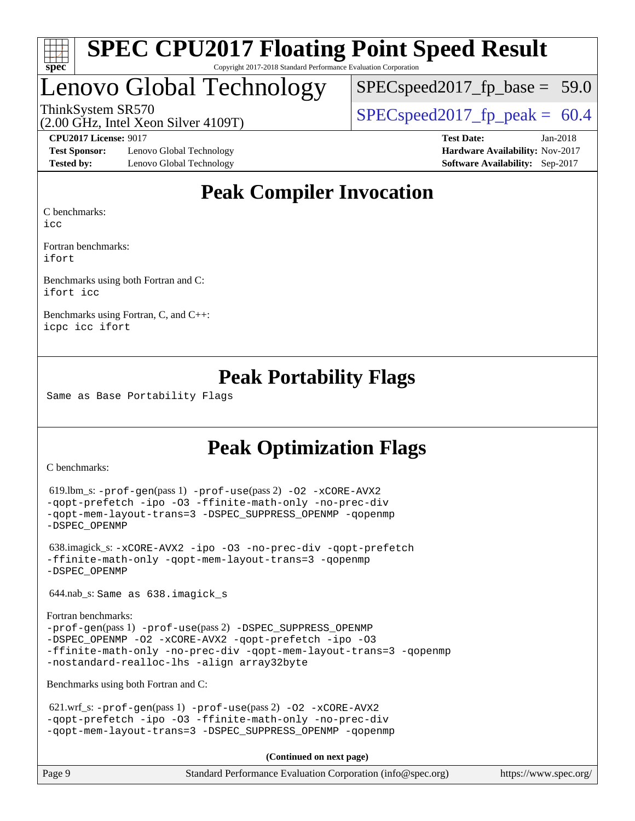

# Lenovo Global Technology

 $SPECspeed2017_fp\_base = 59.0$ 

(2.00 GHz, Intel Xeon Silver 4109T)

ThinkSystem SR570<br>  $\begin{array}{|l|l|l|l|l|}\n\hline\n\text{SPEC speed2017\_fp\_peak} = 60.4\n\end{array}$ 

**[Test Sponsor:](http://www.spec.org/auto/cpu2017/Docs/result-fields.html#TestSponsor)** Lenovo Global Technology **[Hardware Availability:](http://www.spec.org/auto/cpu2017/Docs/result-fields.html#HardwareAvailability)** Nov-2017 **[Tested by:](http://www.spec.org/auto/cpu2017/Docs/result-fields.html#Testedby)** Lenovo Global Technology **[Software Availability:](http://www.spec.org/auto/cpu2017/Docs/result-fields.html#SoftwareAvailability)** Sep-2017

**[CPU2017 License:](http://www.spec.org/auto/cpu2017/Docs/result-fields.html#CPU2017License)** 9017 **[Test Date:](http://www.spec.org/auto/cpu2017/Docs/result-fields.html#TestDate)** Jan-2018

### **[Peak Compiler Invocation](http://www.spec.org/auto/cpu2017/Docs/result-fields.html#PeakCompilerInvocation)**

[C benchmarks](http://www.spec.org/auto/cpu2017/Docs/result-fields.html#Cbenchmarks):

[icc](http://www.spec.org/cpu2017/results/res2018q1/cpu2017-20180122-02998.flags.html#user_CCpeak_intel_icc_18.0_66fc1ee009f7361af1fbd72ca7dcefbb700085f36577c54f309893dd4ec40d12360134090235512931783d35fd58c0460139e722d5067c5574d8eaf2b3e37e92)

[Fortran benchmarks](http://www.spec.org/auto/cpu2017/Docs/result-fields.html#Fortranbenchmarks): [ifort](http://www.spec.org/cpu2017/results/res2018q1/cpu2017-20180122-02998.flags.html#user_FCpeak_intel_ifort_18.0_8111460550e3ca792625aed983ce982f94888b8b503583aa7ba2b8303487b4d8a21a13e7191a45c5fd58ff318f48f9492884d4413fa793fd88dd292cad7027ca)

[Benchmarks using both Fortran and C](http://www.spec.org/auto/cpu2017/Docs/result-fields.html#BenchmarksusingbothFortranandC): [ifort](http://www.spec.org/cpu2017/results/res2018q1/cpu2017-20180122-02998.flags.html#user_CC_FCpeak_intel_ifort_18.0_8111460550e3ca792625aed983ce982f94888b8b503583aa7ba2b8303487b4d8a21a13e7191a45c5fd58ff318f48f9492884d4413fa793fd88dd292cad7027ca) [icc](http://www.spec.org/cpu2017/results/res2018q1/cpu2017-20180122-02998.flags.html#user_CC_FCpeak_intel_icc_18.0_66fc1ee009f7361af1fbd72ca7dcefbb700085f36577c54f309893dd4ec40d12360134090235512931783d35fd58c0460139e722d5067c5574d8eaf2b3e37e92)

[Benchmarks using Fortran, C, and C++:](http://www.spec.org/auto/cpu2017/Docs/result-fields.html#BenchmarksusingFortranCandCXX) [icpc](http://www.spec.org/cpu2017/results/res2018q1/cpu2017-20180122-02998.flags.html#user_CC_CXX_FCpeak_intel_icpc_18.0_c510b6838c7f56d33e37e94d029a35b4a7bccf4766a728ee175e80a419847e808290a9b78be685c44ab727ea267ec2f070ec5dc83b407c0218cded6866a35d07) [icc](http://www.spec.org/cpu2017/results/res2018q1/cpu2017-20180122-02998.flags.html#user_CC_CXX_FCpeak_intel_icc_18.0_66fc1ee009f7361af1fbd72ca7dcefbb700085f36577c54f309893dd4ec40d12360134090235512931783d35fd58c0460139e722d5067c5574d8eaf2b3e37e92) [ifort](http://www.spec.org/cpu2017/results/res2018q1/cpu2017-20180122-02998.flags.html#user_CC_CXX_FCpeak_intel_ifort_18.0_8111460550e3ca792625aed983ce982f94888b8b503583aa7ba2b8303487b4d8a21a13e7191a45c5fd58ff318f48f9492884d4413fa793fd88dd292cad7027ca)

### **[Peak Portability Flags](http://www.spec.org/auto/cpu2017/Docs/result-fields.html#PeakPortabilityFlags)**

Same as Base Portability Flags

### **[Peak Optimization Flags](http://www.spec.org/auto/cpu2017/Docs/result-fields.html#PeakOptimizationFlags)**

[C benchmarks](http://www.spec.org/auto/cpu2017/Docs/result-fields.html#Cbenchmarks):

```
 619.lbm_s: -prof-gen(pass 1) -prof-use(pass 2) -O2 -xCORE-AVX2
-qopt-prefetch -ipo -O3 -ffinite-math-only -no-prec-div
-qopt-mem-layout-trans=3 -DSPEC_SUPPRESS_OPENMP -qopenmp
-DSPEC_OPENMP
```

```
 638.imagick_s: -xCORE-AVX2 -ipo -O3 -no-prec-div -qopt-prefetch
-ffinite-math-only -qopt-mem-layout-trans=3 -qopenmp
-DSPEC_OPENMP
```
644.nab\_s: Same as 638.imagick\_s

```
Fortran benchmarks: 
-prof-gen(pass 1) -prof-use(pass 2) -DSPEC_SUPPRESS_OPENMP
-DSPEC_OPENMP -O2 -xCORE-AVX2 -qopt-prefetch -ipo -O3
-ffinite-math-only -no-prec-div -qopt-mem-layout-trans=3 -qopenmp
-nostandard-realloc-lhs -align array32byte
```
[Benchmarks using both Fortran and C](http://www.spec.org/auto/cpu2017/Docs/result-fields.html#BenchmarksusingbothFortranandC):

```
621.wrf_s: -prof-use-O2-xCORE-AVX2-qopt-prefetch -ipo -O3 -ffinite-math-only -no-prec-div
-qopt-mem-layout-trans=3 -DSPEC_SUPPRESS_OPENMP -qopenmp
```
**(Continued on next page)**